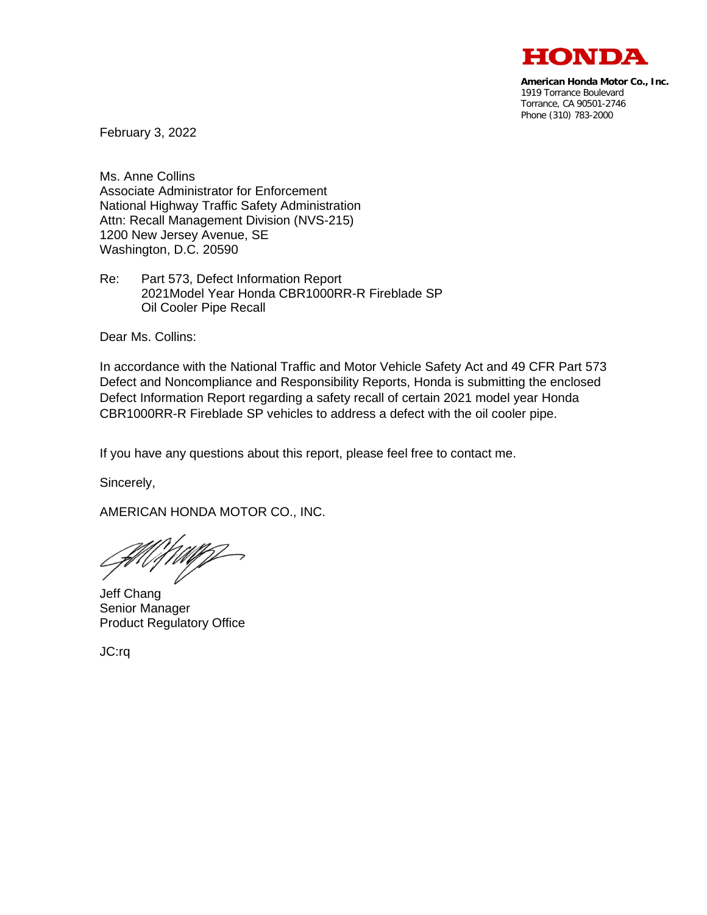

**American Honda Motor Co., Inc.** 1919 Torrance Boulevard Torrance, CA 90501-2746 Phone (310) 783-2000

February 3, 2022

Ms. Anne Collins Associate Administrator for Enforcement National Highway Traffic Safety Administration Attn: Recall Management Division (NVS-215) 1200 New Jersey Avenue, SE Washington, D.C. 20590

Re: Part 573, Defect Information Report 2021Model Year Honda CBR1000RR-R Fireblade SP Oil Cooler Pipe Recall

Dear Ms. Collins:

In accordance with the National Traffic and Motor Vehicle Safety Act and 49 CFR Part 573 Defect and Noncompliance and Responsibility Reports, Honda is submitting the enclosed Defect Information Report regarding a safety recall of certain 2021 model year Honda CBR1000RR-R Fireblade SP vehicles to address a defect with the oil cooler pipe.

If you have any questions about this report, please feel free to contact me.

Sincerely,

AMERICAN HONDA MOTOR CO., INC.

Jeff Chang Senior Manager Product Regulatory Office

JC:rq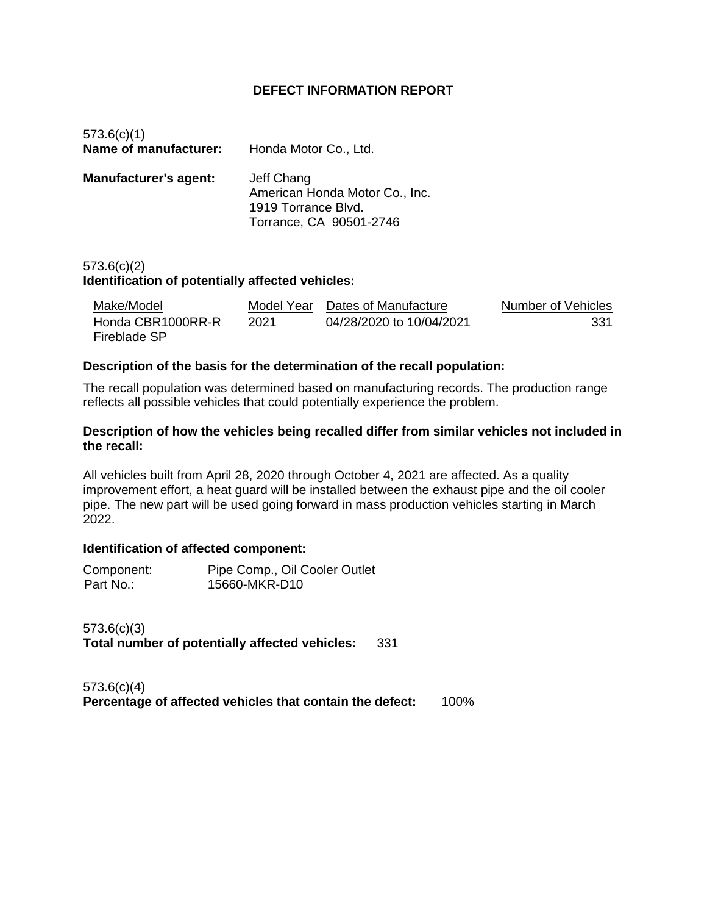# **DEFECT INFORMATION REPORT**

| 573.6(c)(1)<br>Name of manufacturer: | Honda Motor Co., Ltd.                                                                          |
|--------------------------------------|------------------------------------------------------------------------------------------------|
| <b>Manufacturer's agent:</b>         | Jeff Chang<br>American Honda Motor Co., Inc.<br>1919 Torrance Blvd.<br>Torrance, CA 90501-2746 |

# 573.6(c)(2) **Identification of potentially affected vehicles:**

| Make/Model                        | Model Year | Dates of Manufacture     | Number of Vehicles |
|-----------------------------------|------------|--------------------------|--------------------|
| Honda CBR1000RR-R<br>Fireblade SP | 2021       | 04/28/2020 to 10/04/2021 | 331                |

## **Description of the basis for the determination of the recall population:**

The recall population was determined based on manufacturing records. The production range reflects all possible vehicles that could potentially experience the problem.

#### **Description of how the vehicles being recalled differ from similar vehicles not included in the recall:**

All vehicles built from April 28, 2020 through October 4, 2021 are affected. As a quality improvement effort, a heat guard will be installed between the exhaust pipe and the oil cooler pipe. The new part will be used going forward in mass production vehicles starting in March 2022.

## **Identification of affected component:**

| Component: | Pipe Comp., Oil Cooler Outlet |
|------------|-------------------------------|
| Part No.:  | 15660-MKR-D10                 |

573.6(c)(3) **Total number of potentially affected vehicles:** 331

573.6(c)(4) **Percentage of affected vehicles that contain the defect:** 100%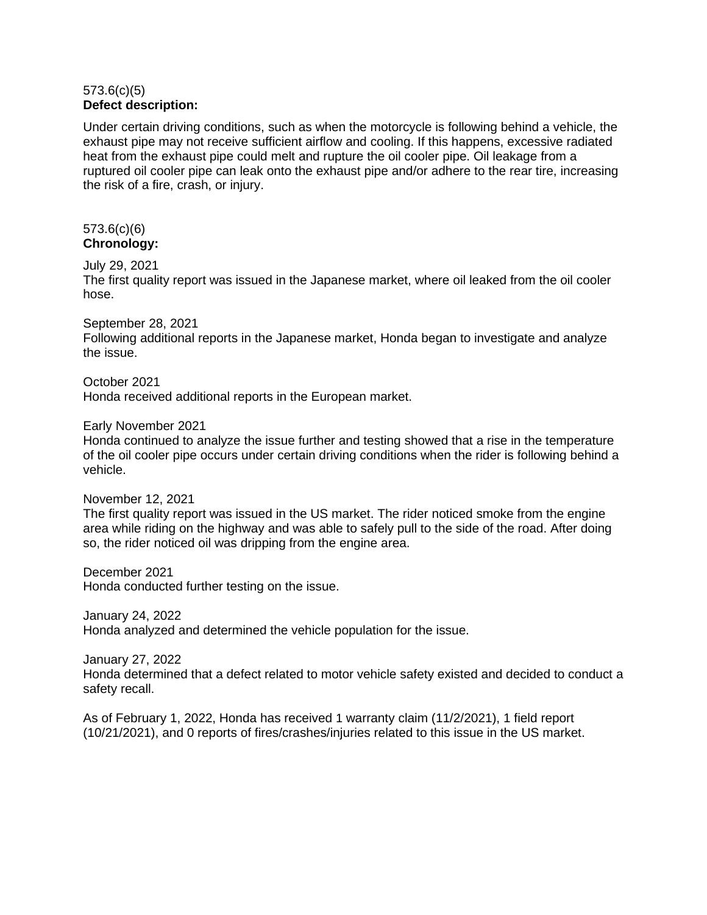## 573.6(c)(5) **Defect description:**

Under certain driving conditions, such as when the motorcycle is following behind a vehicle, the exhaust pipe may not receive sufficient airflow and cooling. If this happens, excessive radiated heat from the exhaust pipe could melt and rupture the oil cooler pipe. Oil leakage from a ruptured oil cooler pipe can leak onto the exhaust pipe and/or adhere to the rear tire, increasing the risk of a fire, crash, or injury.

#### 573.6(c)(6) **Chronology:**

# July 29, 2021

The first quality report was issued in the Japanese market, where oil leaked from the oil cooler hose.

September 28, 2021

Following additional reports in the Japanese market, Honda began to investigate and analyze the issue.

October 2021

Honda received additional reports in the European market.

Early November 2021

Honda continued to analyze the issue further and testing showed that a rise in the temperature of the oil cooler pipe occurs under certain driving conditions when the rider is following behind a vehicle.

November 12, 2021

The first quality report was issued in the US market. The rider noticed smoke from the engine area while riding on the highway and was able to safely pull to the side of the road. After doing so, the rider noticed oil was dripping from the engine area.

December 2021 Honda conducted further testing on the issue.

January 24, 2022 Honda analyzed and determined the vehicle population for the issue.

January 27, 2022

Honda determined that a defect related to motor vehicle safety existed and decided to conduct a safety recall.

As of February 1, 2022, Honda has received 1 warranty claim (11/2/2021), 1 field report (10/21/2021), and 0 reports of fires/crashes/injuries related to this issue in the US market.